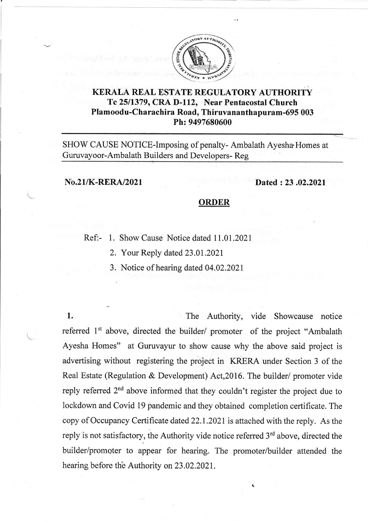

## KERALA REAL ESTATE REGULATORY AUTHORITY Te 2511379, CRA D-112, Near Pentacostal Church Plamoodu-Charachira Road, Thiruvananthapuram-69s 003 Ph: 9497680600

SHOW CAUSE NOTICE-Imposing of penalty- Ambalath Ayesha Homes at Guruvayoor-Ambalath Builders and Developers- Reg

## No.21/K-RERA/2021 Dated : 23 ,02.2021

## ORDER

Ref:- 1. Show Cause Notice dated 11.01.2021

2. Your Reply dated 23.01.2021

3. Notice of hearing dated 04.02.2021

1. The Authority, vide Showcause notice referred 1<sup>st</sup> above, directed the builder/ promoter of the project "Ambalath Ayesha Homes" at Guruvayur to show cause why the above said project is advertising without registering the project in KRERA under Section 3 of the Real Estate (Regulation & Development) Act,2016. The builder/ promoter vide reply referred 2nd above informed that they couldn't register the project due to lockdown and Covid 19 pandemic and they obtained completion certificate. The copy of Occupancy Certificate dated 22.1.2021 is attached with the reply. As the reply is not satisfactory, the Authority vide notice referred 3'd above, directed the builder/promgter to appear for hearing. The promoter/builder attended the hearing before th'e Authority on 23.02.2021.

+